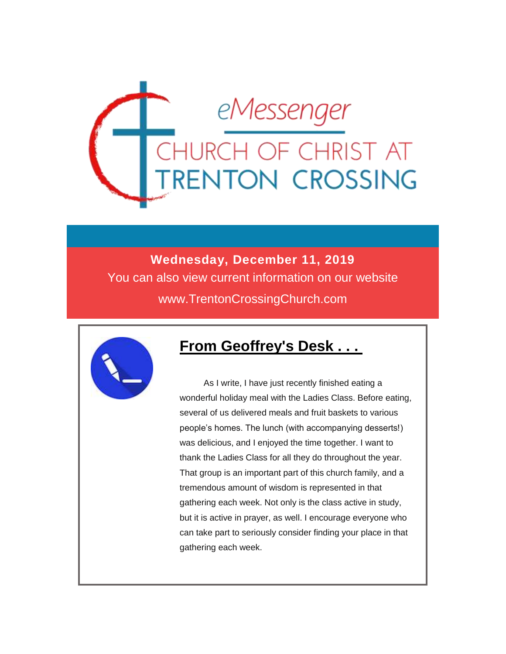

### **Wednesday, December 11, 2019** You can also view current information on our website www.TrentonCrossingChurch.com



#### **From Geoffrey's Desk . . .**

As I write, I have just recently finished eating a wonderful holiday meal with the Ladies Class. Before eating, several of us delivered meals and fruit baskets to various people's homes. The lunch (with accompanying desserts!) was delicious, and I enjoyed the time together. I want to thank the Ladies Class for all they do throughout the year. That group is an important part of this church family, and a tremendous amount of wisdom is represented in that gathering each week. Not only is the class active in study, but it is active in prayer, as well. I encourage everyone who can take part to seriously consider finding your place in that gathering each week.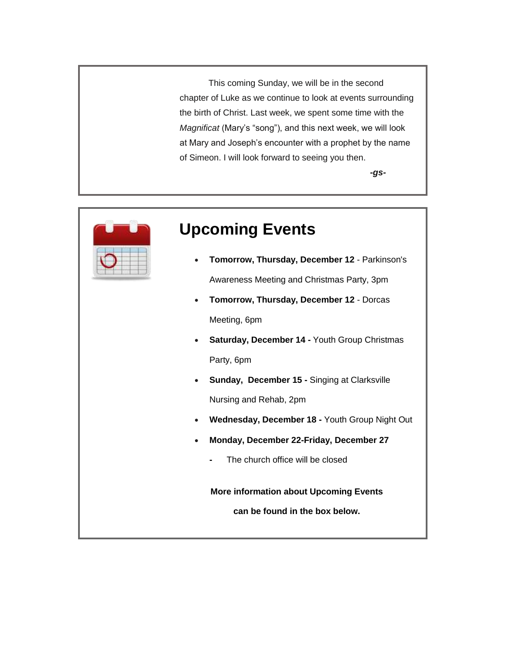This coming Sunday, we will be in the second chapter of Luke as we continue to look at events surrounding the birth of Christ. Last week, we spent some time with the *Magnificat* (Mary's "song"), and this next week, we will look at Mary and Joseph's encounter with a prophet by the name of Simeon. I will look forward to seeing you then.

*-gs-*



### **Upcoming Events**

- **Tomorrow, Thursday, December 12**  Parkinson's Awareness Meeting and Christmas Party, 3pm
- **Tomorrow, Thursday, December 12**  Dorcas Meeting, 6pm
- **Saturday, December 14 -** Youth Group Christmas Party, 6pm
- **Sunday, December 15 -** Singing at Clarksville Nursing and Rehab, 2pm
- **Wednesday, December 18 -** Youth Group Night Out
- **Monday, December 22-Friday, December 27** 
	- The church office will be closed

**More information about Upcoming Events**

**can be found in the box below.**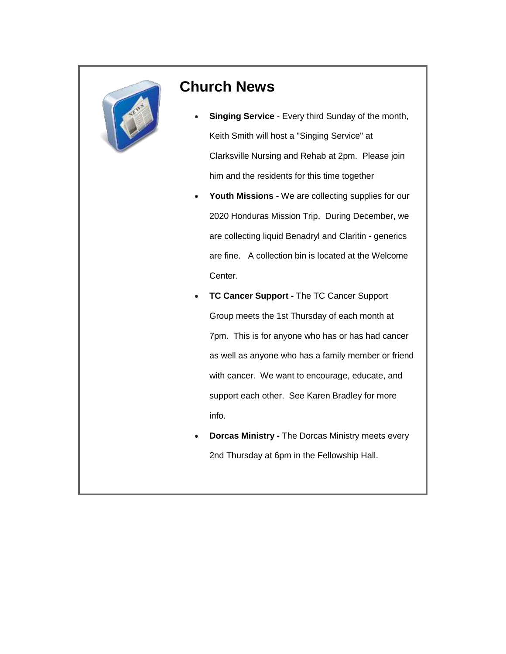

#### **Church News**

- **Singing Service** Every third Sunday of the month, Keith Smith will host a "Singing Service" at Clarksville Nursing and Rehab at 2pm. Please join him and the residents for this time together
- **Youth Missions -** We are collecting supplies for our 2020 Honduras Mission Trip. During December, we are collecting liquid Benadryl and Claritin - generics are fine. A collection bin is located at the Welcome Center.
- **TC Cancer Support -** The TC Cancer Support Group meets the 1st Thursday of each month at 7pm. This is for anyone who has or has had cancer as well as anyone who has a family member or friend with cancer. We want to encourage, educate, and support each other. See Karen Bradley for more info.
- **Dorcas Ministry -** The Dorcas Ministry meets every 2nd Thursday at 6pm in the Fellowship Hall.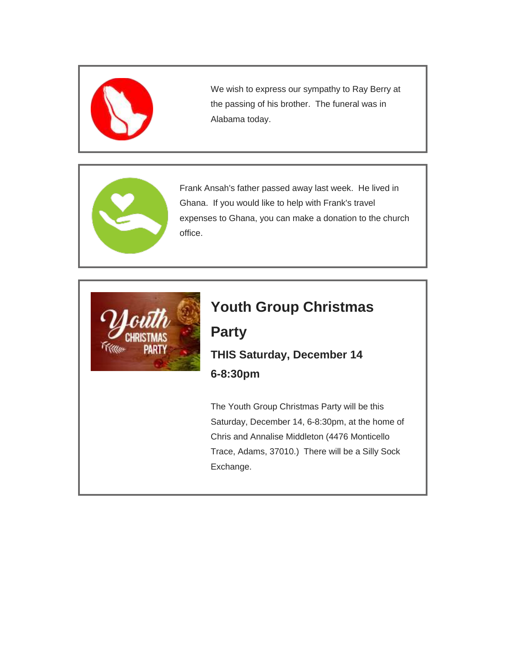

We wish to express our sympathy to Ray Berry at the passing of his brother. The funeral was in Alabama today.



Frank Ansah's father passed away last week. He lived in Ghana. If you would like to help with Frank's travel expenses to Ghana, you can make a donation to the church office.



### **Youth Group Christmas**

### **Party THIS Saturday, December 14 6-8:30pm**

The Youth Group Christmas Party will be this Saturday, December 14, 6-8:30pm, at the home of Chris and Annalise Middleton (4476 Monticello Trace, Adams, 37010.) There will be a Silly Sock Exchange.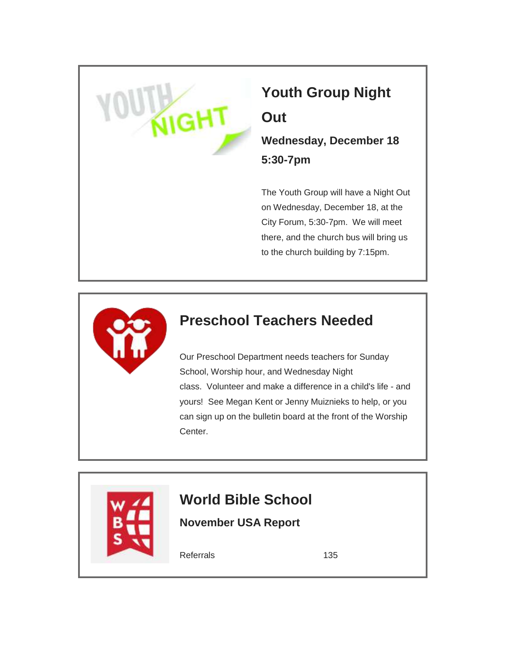# **Youth Group Night Out**

**Wednesday, December 18 5:30-7pm**

The Youth Group will have a Night Out on Wednesday, December 18, at the City Forum, 5:30-7pm. We will meet there, and the church bus will bring us to the church building by 7:15pm.



### **Preschool Teachers Needed**

Our Preschool Department needs teachers for Sunday School, Worship hour, and Wednesday Night class. Volunteer and make a difference in a child's life - and yours! See Megan Kent or Jenny Muiznieks to help, or you can sign up on the bulletin board at the front of the Worship Center.



## **World Bible School**

**November USA Report**

Referrals 135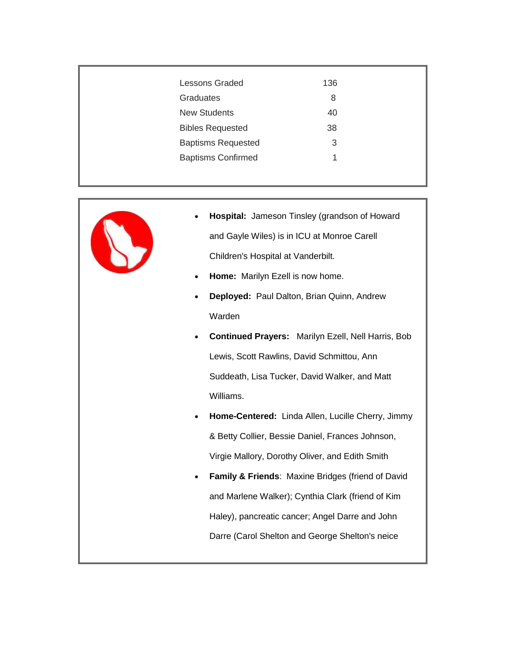| <b>Lessons Graded</b>     | 136 |  |
|---------------------------|-----|--|
| <b>Graduates</b>          | 8   |  |
| <b>New Students</b>       | 40  |  |
| <b>Bibles Requested</b>   | 38  |  |
| <b>Baptisms Requested</b> | 3   |  |
| <b>Baptisms Confirmed</b> | 1   |  |
|                           |     |  |



- **Hospital:** Jameson Tinsley (grandson of Howard and Gayle Wiles) is in ICU at Monroe Carell Children's Hospital at Vanderbilt.
- **Home:** Marilyn Ezell is now home.
- **Deployed:** Paul Dalton, Brian Quinn, Andrew Warden
- **Continued Prayers:** Marilyn Ezell, Nell Harris, Bob Lewis, Scott Rawlins, David Schmittou, Ann Suddeath, Lisa Tucker, David Walker, and Matt Williams.
- **Home-Centered:** Linda Allen, Lucille Cherry, Jimmy & Betty Collier, Bessie Daniel, Frances Johnson, Virgie Mallory, Dorothy Oliver, and Edith Smith
- **Family & Friends**: Maxine Bridges (friend of David and Marlene Walker); Cynthia Clark (friend of Kim Haley), pancreatic cancer; Angel Darre and John Darre (Carol Shelton and George Shelton's neice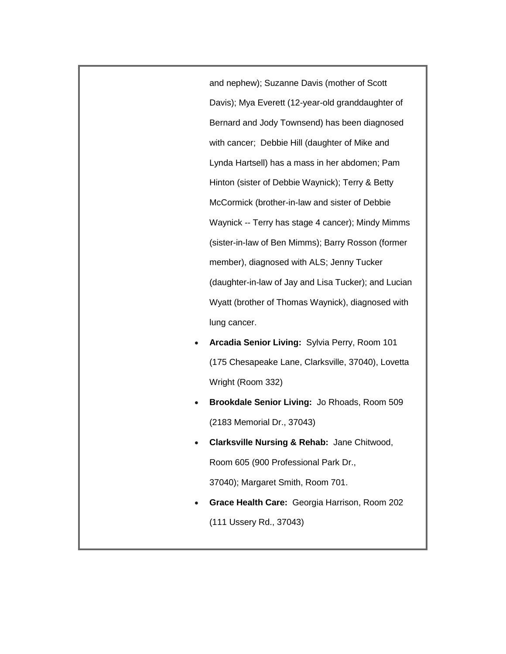and nephew); Suzanne Davis (mother of Scott Davis); Mya Everett (12-year-old granddaughter of Bernard and Jody Townsend) has been diagnosed with cancer; Debbie Hill (daughter of Mike and Lynda Hartsell) has a mass in her abdomen; Pam Hinton (sister of Debbie Waynick); Terry & Betty McCormick (brother-in-law and sister of Debbie Waynick -- Terry has stage 4 cancer); Mindy Mimms (sister-in-law of Ben Mimms); Barry Rosson (former member), diagnosed with ALS; Jenny Tucker (daughter-in-law of Jay and Lisa Tucker); and Lucian Wyatt (brother of Thomas Waynick), diagnosed with lung cancer.

- **Arcadia Senior Living:** Sylvia Perry, Room 101 (175 Chesapeake Lane, Clarksville, 37040), Lovetta Wright (Room 332)
- **Brookdale Senior Living:** Jo Rhoads, Room 509 (2183 Memorial Dr., 37043)
- **Clarksville Nursing & Rehab:** Jane Chitwood, Room 605 (900 Professional Park Dr., 37040); Margaret Smith, Room 701.
- **Grace Health Care:** Georgia Harrison, Room 202 (111 Ussery Rd., 37043)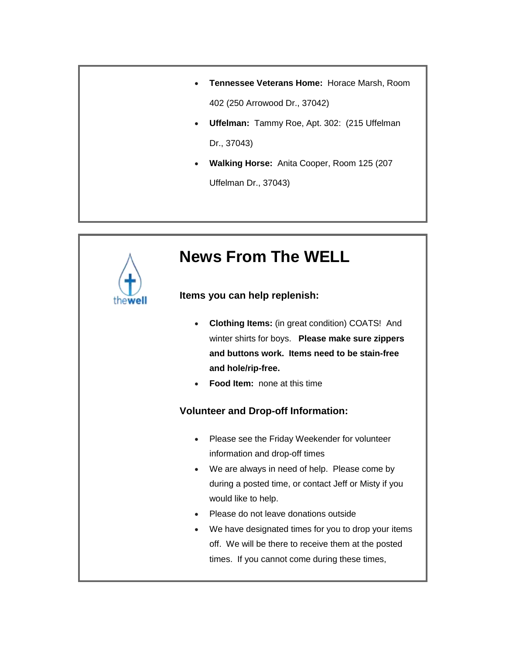- **Tennessee Veterans Home:** Horace Marsh, Room 402 (250 Arrowood Dr., 37042)
- **Uffelman:** Tammy Roe, Apt. 302: (215 Uffelman Dr., 37043)
- **Walking Horse:** Anita Cooper, Room 125 (207 Uffelman Dr., 37043)

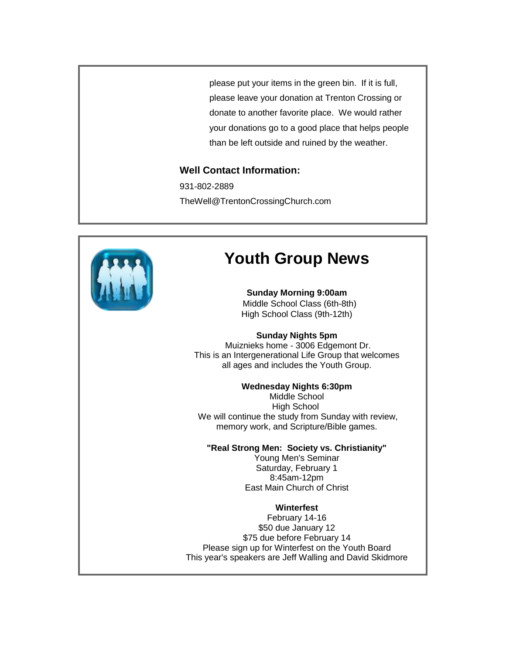please put your items in the green bin. If it is full, please leave your donation at Trenton Crossing or donate to another favorite place. We would rather your donations go to a good place that helps people than be left outside and ruined by the weather.

#### **Well Contact Information:**

931-802-2889 TheWell@TrentonCrossingChurch.com



### **Youth Group News**

**Sunday Morning 9:00am** Middle School Class (6th-8th) High School Class (9th-12th)

#### **Sunday Nights 5pm**

Muiznieks home - 3006 Edgemont Dr. This is an Intergenerational Life Group that welcomes all ages and includes the Youth Group.

#### **Wednesday Nights 6:30pm**

Middle School High School We will continue the study from Sunday with review, memory work, and Scripture/Bible games.

#### **"Real Strong Men: Society vs. Christianity"**

Young Men's Seminar Saturday, February 1 8:45am-12pm East Main Church of Christ

#### **Winterfest**

February 14-16 \$50 due January 12 \$75 due before February 14 Please sign up for Winterfest on the Youth Board This year's speakers are Jeff Walling and David Skidmore